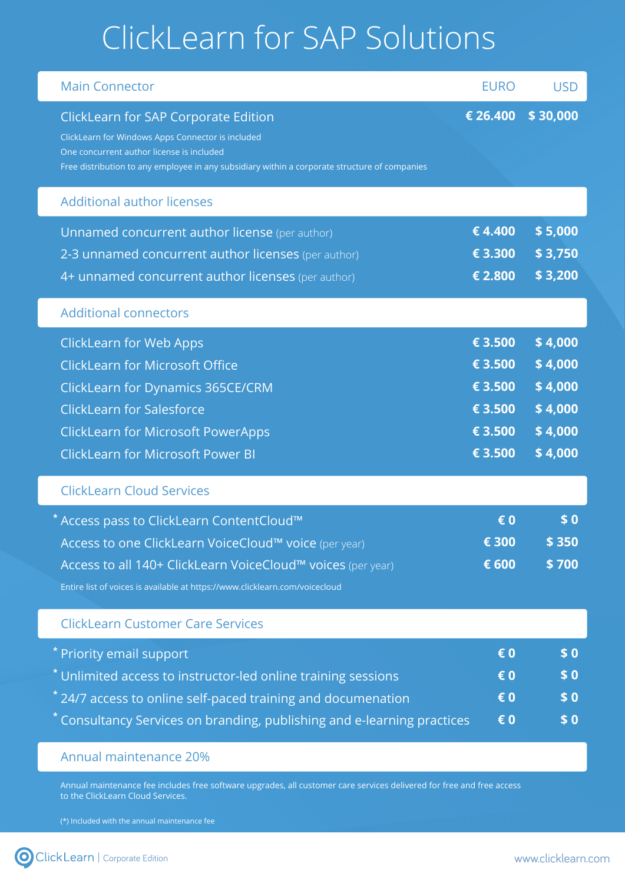## ClickLearn for SAP Solutions

| <b>Main Connector</b>                                                                                                                                                                                                                            | <b>EURO</b>                                                    | <b>USD</b>                                                     |
|--------------------------------------------------------------------------------------------------------------------------------------------------------------------------------------------------------------------------------------------------|----------------------------------------------------------------|----------------------------------------------------------------|
| ClickLearn for SAP Corporate Edition<br>ClickLearn for Windows Apps Connector is included<br>One concurrent author license is included<br>Free distribution to any employee in any subsidiary within a corporate structure of companies          | € 26.400                                                       | \$30,000                                                       |
| <b>Additional author licenses</b>                                                                                                                                                                                                                |                                                                |                                                                |
| Unnamed concurrent author license (per author)<br>2-3 unnamed concurrent author licenses (per author)<br>4+ unnamed concurrent author licenses (per author)                                                                                      | €4.400<br>€ 3.300<br>€ 2.800                                   | \$5,000<br>\$3,750<br>\$3,200                                  |
| <b>Additional connectors</b>                                                                                                                                                                                                                     |                                                                |                                                                |
| <b>ClickLearn for Web Apps</b><br><b>ClickLearn for Microsoft Office</b><br>ClickLearn for Dynamics 365CE/CRM<br><b>ClickLearn for Salesforce</b><br><b>ClickLearn for Microsoft PowerApps</b><br><b>ClickLearn for Microsoft Power BI</b>       | € 3.500<br>€ 3.500<br>€ 3.500<br>€ 3.500<br>€ 3.500<br>€ 3.500 | \$4,000<br>\$4,000<br>\$4,000<br>\$4,000<br>\$4,000<br>\$4,000 |
| <b>ClickLearn Cloud Services</b>                                                                                                                                                                                                                 |                                                                |                                                                |
| * Access pass to ClickLearn ContentCloud™<br>Access to one ClickLearn VoiceCloud™ voice (per year)<br>Access to all 140+ ClickLearn VoiceCloud™ voices (per year)<br>Entire list of voices is available at https://www.clicklearn.com/voicecloud | € 0<br>€ 300<br>€ 600                                          | \$0<br>\$ 350<br>\$700                                         |
| <b>ClickLearn Customer Care Services</b>                                                                                                                                                                                                         |                                                                |                                                                |
| * Priority email support<br>* Unlimited access to instructor-led online training sessions<br>$*$ 24/7 access to online self-paced training and documenation<br>* Consultancy Services on branding, publishing and e-learning practices           | € 0<br>€ 0<br>€ 0<br>€ 0                                       | \$0<br>\$0<br>\$0<br>\$0                                       |
|                                                                                                                                                                                                                                                  |                                                                |                                                                |

## Annual maintenance 20%

Annual maintenance fee includes free software upgrades, all customer care services delivered for free and free access to the ClickLearn Cloud Services.

(\*) Included with the annual maintenance fee